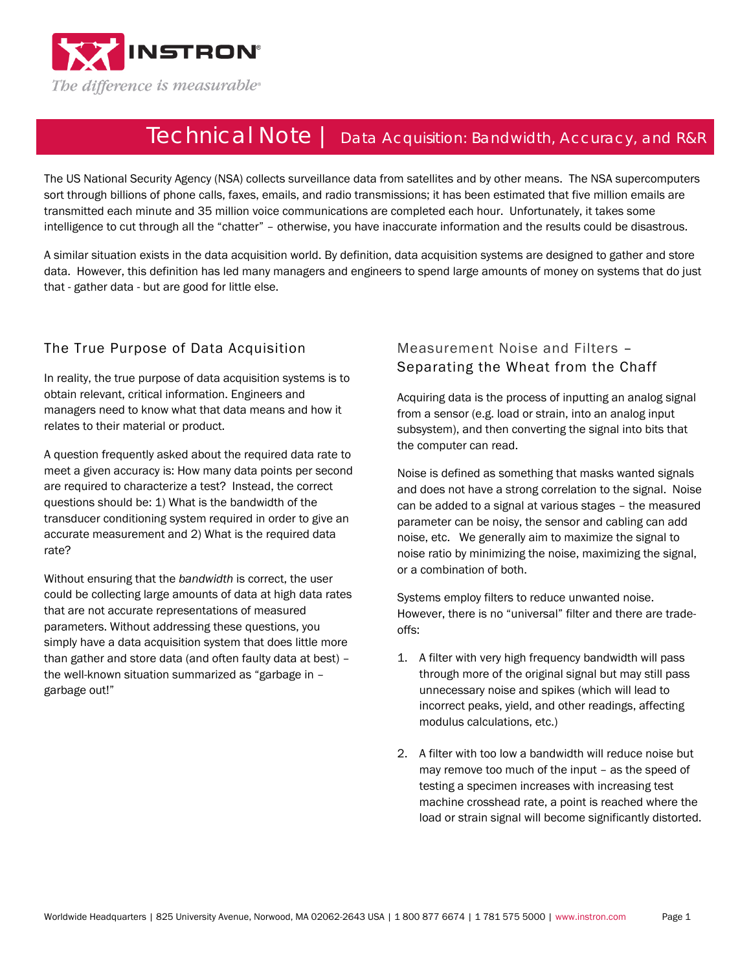

# Technical Note | Data Acquisition: Bandwidth, Accuracy, and R&R

The US National Security Agency (NSA) collects surveillance data from satellites and by other means. The NSA supercomputers sort through billions of phone calls, faxes, emails, and radio transmissions; it has been estimated that five million emails are transmitted each minute and 35 million voice communications are completed each hour. Unfortunately, it takes some intelligence to cut through all the "chatter" – otherwise, you have inaccurate information and the results could be disastrous.

A similar situation exists in the data acquisition world. By definition, data acquisition systems are designed to gather and store data. However, this definition has led many managers and engineers to spend large amounts of money on systems that do just that - gather data - but are good for little else.

## The True Purpose of Data Acquisition

In reality, the true purpose of data acquisition systems is to obtain relevant, critical information. Engineers and managers need to know what that data means and how it relates to their material or product.

A question frequently asked about the required data rate to meet a given accuracy is: How many data points per second are required to characterize a test? Instead, the correct questions should be: 1) What is the bandwidth of the transducer conditioning system required in order to give an accurate measurement and 2) What is the required data rate?

Without ensuring that the *bandwidth* is correct, the user could be collecting large amounts of data at high data rates that are not accurate representations of measured parameters. Without addressing these questions, you simply have a data acquisition system that does little more than gather and store data (and often faulty data at best) – the well-known situation summarized as "garbage in – garbage out!"

## Measurement Noise and Filters – Separating the Wheat from the Chaff

Acquiring data is the process of inputting an analog signal from a sensor (e.g. load or strain, into an analog input subsystem), and then converting the signal into bits that the computer can read.

Noise is defined as something that masks wanted signals and does not have a strong correlation to the signal. Noise can be added to a signal at various stages – the measured parameter can be noisy, the sensor and cabling can add noise, etc. We generally aim to maximize the signal to noise ratio by minimizing the noise, maximizing the signal, or a combination of both.

Systems employ filters to reduce unwanted noise. However, there is no "universal" filter and there are tradeoffs:

- 1. A filter with very high frequency bandwidth will pass through more of the original signal but may still pass unnecessary noise and spikes (which will lead to incorrect peaks, yield, and other readings, affecting modulus calculations, etc.)
- 2. A filter with too low a bandwidth will reduce noise but may remove too much of the input – as the speed of testing a specimen increases with increasing test machine crosshead rate, a point is reached where the load or strain signal will become significantly distorted.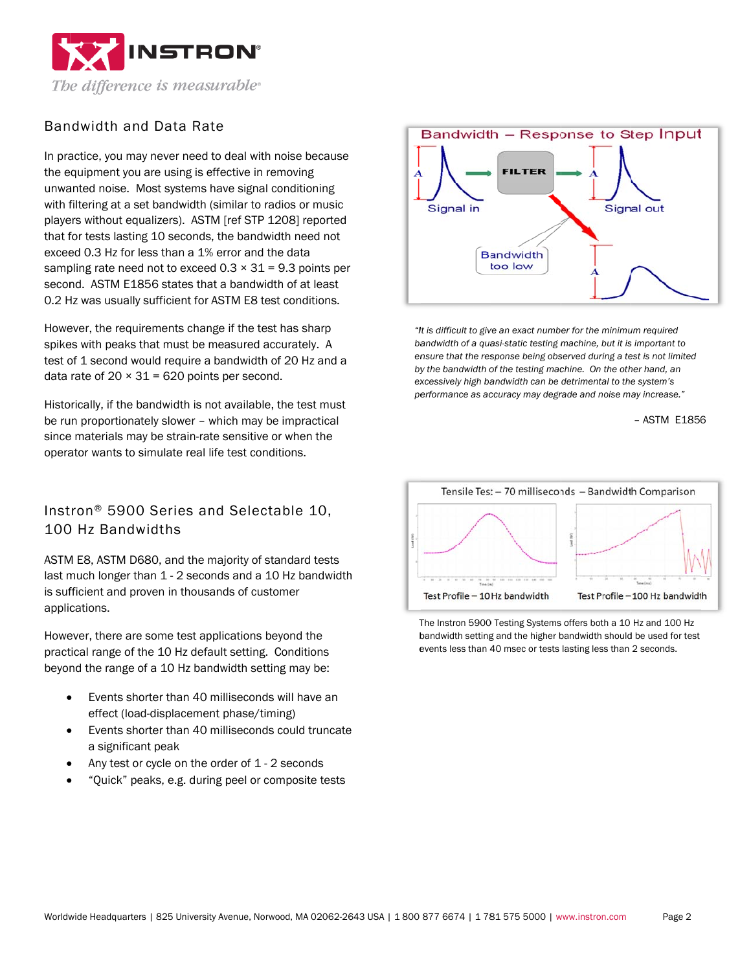

### Bandwidth and Data Rate

In practice, you may never need to deal with noise because the equipment you are using is effective in removing unwanted noise. Most systems have signal conditioning with filtering at a set bandwidth (similar to radios or music players without equalizers). ASTM [ref STP 1208] reported that for tests lasting 10 seconds, the bandwidth need not exceed 0.3 Hz for less than a 1% error and the data sampling rate need not to exceed  $0.3 \times 31 = 9.3$  points per second. ASTM E1856 states that a bandwidth of at least 0.2 Hz was usually sufficient for ASTM E8 test conditions.

However, the requirements change if the test has sharp spikes with peaks that must be measured accurately. A test of 1 second would require a bandwidth of 20 Hz and a data rate of  $20 \times 31 = 620$  points per second.

Historically, if the bandwidth is not available, the test must be run proportionately slower - which may be impractical since materials may be strain-rate sensitive or when the operator wants to simulate real life test conditions.

Instron<sup>®</sup> 5900 Series and Selectable 10. 100 Hz Bandwidths

ASTM E8, ASTM D680, and the majority of standard tests last much longer than 1 - 2 seconds and a 10 Hz bandwidth is sufficient and proven in thousands of customer applications.

However, there are some test applications beyond the practical range of the 10 Hz default setting. Conditions beyond the range of a 10 Hz bandwidth setting may be:

- Events shorter than 40 milliseconds will have an effect (load-displacement phase/timing)
- Events shorter than 40 milliseconds could truncate a significant peak
- Any test or cycle on the order of 1 2 seconds
- "Quick" peaks, e.g. during peel or composite tests



"It is difficult to give an exact number for the minimum required bandwidth of a quasi-static testing machine, but it is important to ensure that the response being observed during a test is not limited by the bandwidth of the testing machine. On the other hand, an excessively high bandwidth can be detrimental to the system's performance as accuracy may degrade and noise may increase."

- ASTM E1856



The Instron 5900 Testing Systems offers both a 10 Hz and 100 Hz bandwidth setting and the higher bandwidth should be used for test events less than 40 msec or tests lasting less than 2 seconds.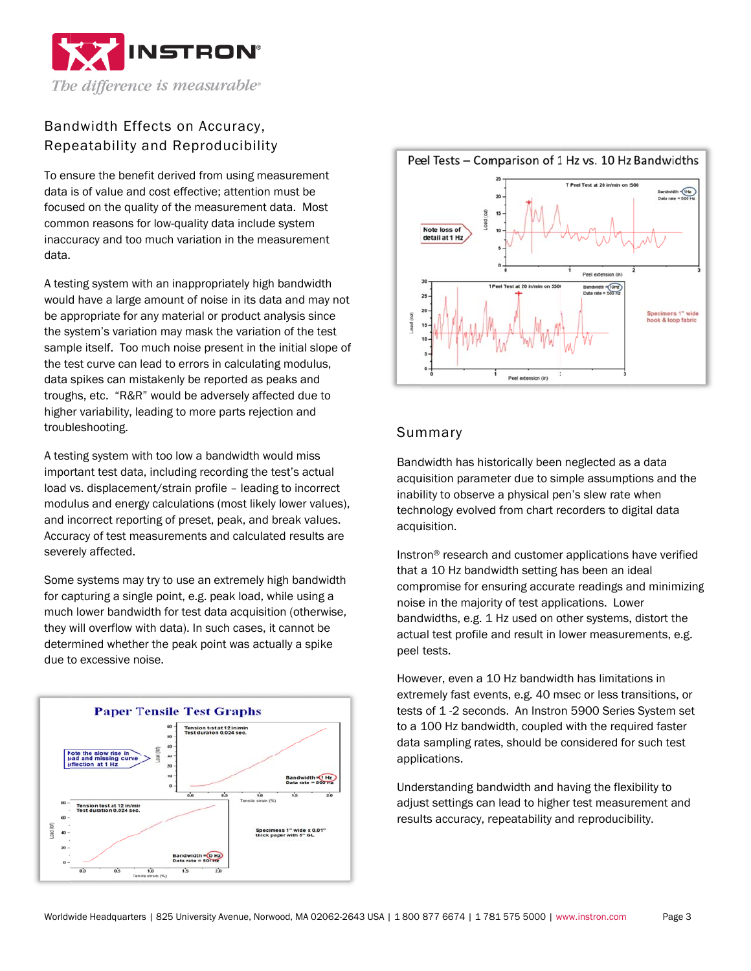

# Bandwidth Effects on Accuracy, Repeatability and Reproducibility

To ensure the benefit derived from using measurement data is of value and cost effective: attention must be focused on the quality of the measurement data. Most common reasons for low-quality data include system inaccuracy and too much variation in the measurement data.

A testing system with an inappropriately high bandwidth would have a large amount of noise in its data and may not be appropriate for any material or product analysis since the system's variation may mask the variation of the test sample itself. Too much noise present in the initial slope of the test curve can lead to errors in calculating modulus, data spikes can mistakenly be reported as peaks and troughs, etc. "R&R" would be adversely affected due to higher variability, leading to more parts rejection and troubleshooting.

A testing system with too low a bandwidth would miss important test data, including recording the test's actual load vs. displacement/strain profile - leading to incorrect modulus and energy calculations (most likely lower values). and incorrect reporting of preset, peak, and break values. Accuracy of test measurements and calculated results are severely affected.

Some systems may try to use an extremely high bandwidth for capturing a single point, e.g. peak load, while using a much lower bandwidth for test data acquisition (otherwise, they will overflow with data). In such cases, it cannot be determined whether the peak point was actually a spike due to excessive noise.





#### Summary

Bandwidth has historically been neglected as a data acquisition parameter due to simple assumptions and the inability to observe a physical pen's slew rate when technology evolved from chart recorders to digital data acquisition.

Instron® research and customer applications have verified that a 10 Hz bandwidth setting has been an ideal compromise for ensuring accurate readings and minimizing noise in the maiority of test applications. Lower bandwidths, e.g. 1 Hz used on other systems, distort the actual test profile and result in lower measurements, e.g. peel tests.

However, even a 10 Hz bandwidth has limitations in extremely fast events, e.g. 40 msec or less transitions, or tests of 1-2 seconds. An Instron 5900 Series System set to a 100 Hz bandwidth, coupled with the required faster data sampling rates, should be considered for such test applications.

Understanding bandwidth and having the flexibility to adjust settings can lead to higher test measurement and results accuracy, repeatability and reproducibility.